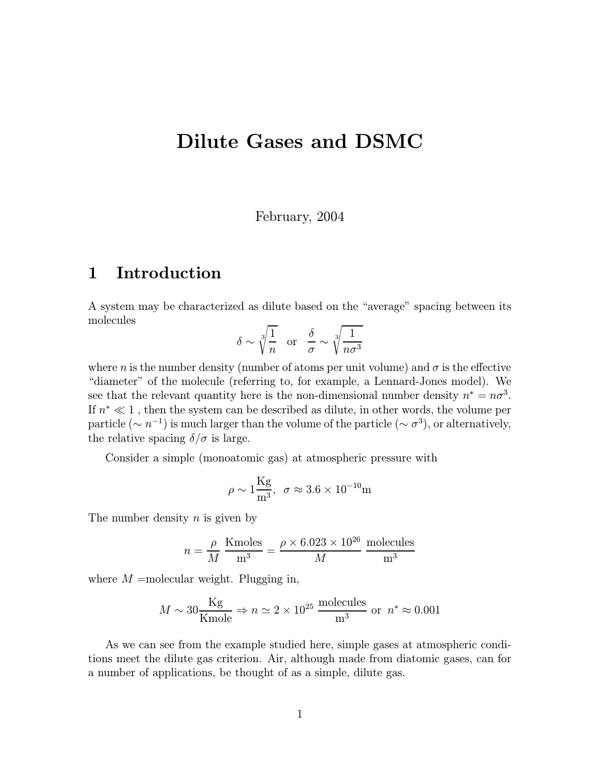# Dilute Gases and DSMC

February, 2004

## 1 Introduction

A system may be characterized as dilute based on the "average" spacing between its molecules

$$
\delta \sim \sqrt[3]{\frac{1}{n}}
$$
 or  $\frac{\delta}{\sigma} \sim \sqrt[3]{\frac{1}{n\sigma^3}}$ 

where n is the number density (number of atoms per unit volume) and  $\sigma$  is the effective "diameter" of the molecule (referring to, for example, a Lennard-Jones model). We see that the relevant quantity here is the non-dimensional number density  $n^* = n\sigma^3$ . If  $n^* \ll 1$ , then the system can be described as dilute, in other words, the volume per particle ( $\sim n^{-1}$ ) is much larger than the volume of the particle ( $\sim \sigma^3$ ), or alternatively, the relative spacing  $\delta/\sigma$  is large.

Consider a simple (monoatomic gas) at atmospheric pressure with

$$
\rho \sim 1 \frac{\text{Kg}}{\text{m}^3}, \ \ \sigma \approx 3.6 \times 10^{-10} \text{m}
$$

The number density  $n$  is given by

$$
n = \frac{\rho}{M} \frac{\text{Kmoles}}{\text{m}^3} = \frac{\rho \times 6.023 \times 10^{26}}{M} \frac{\text{molecules}}{\text{m}^3}
$$

where  $M$  =molecular weight. Plugging in,

$$
M \sim 30 \frac{\text{Kg}}{\text{Kmole}} \Rightarrow n \simeq 2 \times 10^{25} \frac{\text{molecules}}{\text{m}^3} \text{ or } n^* \approx 0.001
$$

As we can see from the example studied here, simple gases at atmospheric conditions meet the dilute gas criterion. Air, although made from diatomic gases, can for a number of applications, be thought of as a simple, dilute gas.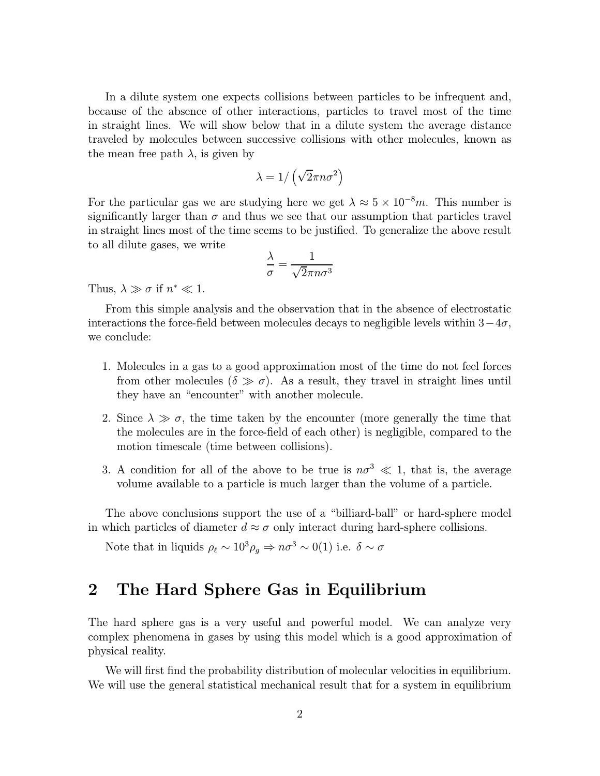In a dilute system one expects collisions between particles to be infrequent and, because of the absence of other interactions, particles to travel most of the time in straight lines. We will show below that in a dilute system the average distance traveled by molecules between successive collisions with other molecules, known as the mean free path  $\lambda$ , is given by

$$
\lambda=1/\left(\sqrt{2}\pi n \sigma^2\right)
$$

For the particular gas we are studying here we get  $\lambda \approx 5 \times 10^{-8}m$ . This number is significantly larger than  $\sigma$  and thus we see that our assumption that particles travel in straight lines most of the time seems to be justified. To generalize the above result to all dilute gases, we write

$$
\frac{\lambda}{\sigma} = \frac{1}{\sqrt{2}\pi n \sigma^3}
$$

Thus,  $\lambda \gg \sigma$  if  $n^* \ll 1$ .

From this simple analysis and the observation that in the absence of electrostatic interactions the force-field between molecules decays to negligible levels within  $3-4\sigma$ , we conclude:

- 1. Molecules in a gas to a good approximation most of the time do not feel forces from other molecules ( $\delta \gg \sigma$ ). As a result, they travel in straight lines until they have an "encounter" with another molecule.
- 2. Since  $\lambda \gg \sigma$ , the time taken by the encounter (more generally the time that the molecules are in the force-field of each other) is negligible, compared to the motion timescale (time between collisions).
- 3. A condition for all of the above to be true is  $n\sigma^3 \ll 1$ , that is, the average volume available to a particle is much larger than the volume of a particle.

The above conclusions support the use of a "billiard-ball" or hard-sphere model in which particles of diameter  $d \approx \sigma$  only interact during hard-sphere collisions.

Note that in liquids  $\rho_{\ell} \sim 10^3 \rho_g \Rightarrow n\sigma^3 \sim 0(1)$  i.e.  $\delta \sim \sigma$ 

## 2 The Hard Sphere Gas in Equilibrium

The hard sphere gas is a very useful and powerful model. We can analyze very complex phenomena in gases by using this model which is a good approximation of physical reality.

We will first find the probability distribution of molecular velocities in equilibrium. We will use the general statistical mechanical result that for a system in equilibrium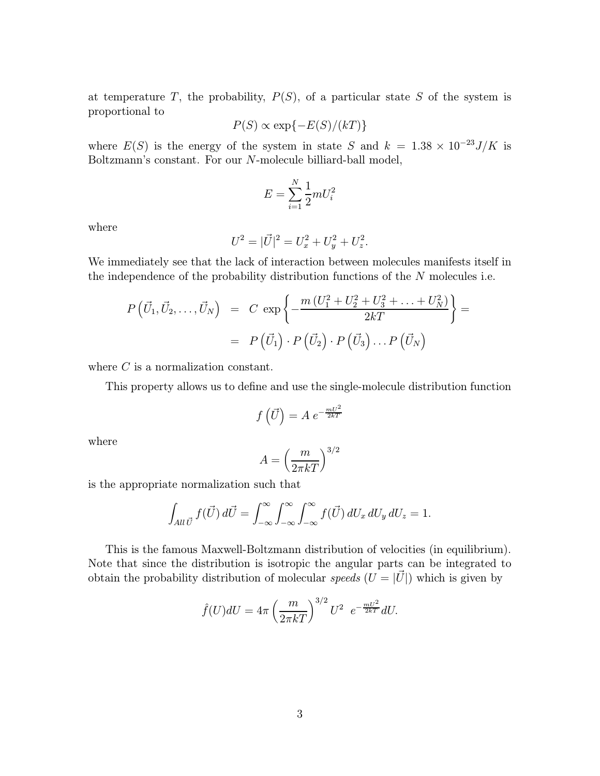at temperature  $T$ , the probability,  $P(S)$ , of a particular state  $S$  of the system is proportional to

$$
P(S) \propto \exp\{-E(S)/(kT)\}\
$$

where  $E(S)$  is the energy of the system in state S and  $k = 1.38 \times 10^{-23} J/K$  is Boltzmann's constant. For our N-molecule billiard-ball model,

$$
E = \sum_{i=1}^{N} \frac{1}{2} m U_i^2
$$

where

$$
U^2 = |\vec{U}|^2 = U_x^2 + U_y^2 + U_z^2.
$$

We immediately see that the lack of interaction between molecules manifests itself in the independence of the probability distribution functions of the N molecules i.e.

$$
P\left(\vec{U}_1, \vec{U}_2, \dots, \vec{U}_N\right) = C \exp\left\{-\frac{m\left(U_1^2 + U_2^2 + U_3^2 + \dots + U_N^2\right)}{2kT}\right\} =
$$
  
=  $P\left(\vec{U}_1\right) \cdot P\left(\vec{U}_2\right) \cdot P\left(\vec{U}_3\right) \dots P\left(\vec{U}_N\right)$ 

where C is a normalization constant.

This property allows us to define and use the single-molecule distribution function

$$
f\left(\vec{U}\right) = A \ e^{-\frac{mU^2}{2kT}}
$$

where

$$
A = \left(\frac{m}{2\pi kT}\right)^{3/2}
$$

is the appropriate normalization such that

$$
\int_{\text{All}\,\vec{U}}f(\vec{U})\,d\vec{U} = \int_{-\infty}^{\infty}\int_{-\infty}^{\infty}\int_{-\infty}^{\infty}f(\vec{U})\,dU_x\,dU_y\,dU_z = 1.
$$

This is the famous Maxwell-Boltzmann distribution of velocities (in equilibrium). Note that since the distribution is isotropic the angular parts can be integrated to obtain the probability distribution of molecular *speeds*  $(U = |U|)$  which is given by

$$
\hat{f}(U)dU = 4\pi \left(\frac{m}{2\pi kT}\right)^{3/2}U^2 e^{-\frac{mU^2}{2kT}}dU.
$$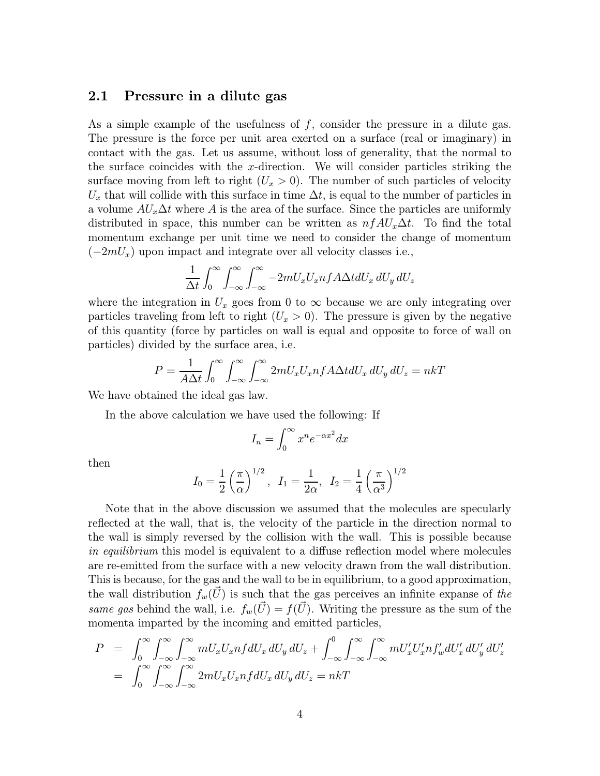#### 2.1 Pressure in a dilute gas

As a simple example of the usefulness of  $f$ , consider the pressure in a dilute gas. The pressure is the force per unit area exerted on a surface (real or imaginary) in contact with the gas. Let us assume, without loss of generality, that the normal to the surface coincides with the x-direction. We will consider particles striking the surface moving from left to right  $(U_x > 0)$ . The number of such particles of velocity  $U_x$  that will collide with this surface in time  $\Delta t$ , is equal to the number of particles in a volume  $AU_x\Delta t$  where A is the area of the surface. Since the particles are uniformly distributed in space, this number can be written as  $n f A U_x \Delta t$ . To find the total momentum exchange per unit time we need to consider the change of momentum  $(-2mU_x)$  upon impact and integrate over all velocity classes i.e.,

$$
\frac{1}{\Delta t} \int_0^\infty \int_{-\infty}^\infty \int_{-\infty}^\infty -2mU_x U_x n f A \Delta t dU_x dU_y dU_z
$$

where the integration in  $U_x$  goes from 0 to  $\infty$  because we are only integrating over particles traveling from left to right  $(U_x > 0)$ . The pressure is given by the negative of this quantity (force by particles on wall is equal and opposite to force of wall on particles) divided by the surface area, i.e.

$$
P = \frac{1}{A\Delta t} \int_0^\infty \int_{-\infty}^\infty \int_{-\infty}^\infty 2mU_x U_x n f A \Delta t dU_x dU_y dU_z = nkT
$$

We have obtained the ideal gas law.

In the above calculation we have used the following: If

$$
I_n = \int_0^\infty x^n e^{-\alpha x^2} dx
$$

then

$$
I_0 = \frac{1}{2} \left( \frac{\pi}{\alpha} \right)^{1/2}, \ \ I_1 = \frac{1}{2\alpha}, \ \ I_2 = \frac{1}{4} \left( \frac{\pi}{\alpha^3} \right)^{1/2}
$$

Note that in the above discussion we assumed that the molecules are specularly reflected at the wall, that is, the velocity of the particle in the direction normal to the wall is simply reversed by the collision with the wall. This is possible because in equilibrium this model is equivalent to a diffuse reflection model where molecules are re-emitted from the surface with a new velocity drawn from the wall distribution. This is because, for the gas and the wall to be in equilibrium, to a good approximation, the wall distribution  $f_w(U)$  is such that the gas perceives an infinite expanse of the same gas behind the wall, i.e.  $f_w(\vec{U}) = f(\vec{U})$ . Writing the pressure as the sum of the momenta imparted by the incoming and emitted particles,

$$
P = \int_0^\infty \int_{-\infty}^\infty \int_{-\infty}^\infty m U_x U_x n f dU_x dU_y dU_z + \int_{-\infty}^0 \int_{-\infty}^\infty \int_{-\infty}^\infty m U_x' U_x' n f_w' dU_x' dU_y' dU_z'
$$
  
= 
$$
\int_0^\infty \int_{-\infty}^\infty \int_{-\infty}^\infty 2m U_x U_x n f dU_x dU_y dU_z = n k T
$$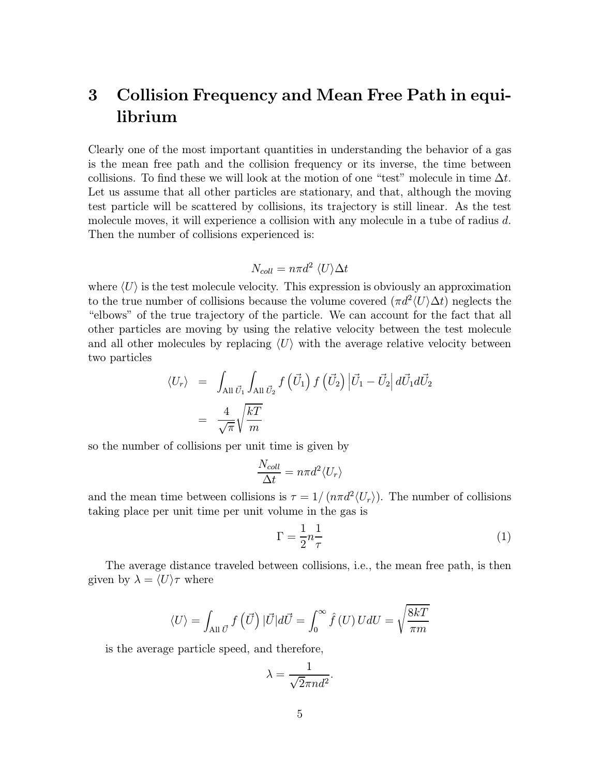# 3 Collision Frequency and Mean Free Path in equilibrium

Clearly one of the most important quantities in understanding the behavior of a gas is the mean free path and the collision frequency or its inverse, the time between collisions. To find these we will look at the motion of one "test" molecule in time  $\Delta t$ . Let us assume that all other particles are stationary, and that, although the moving test particle will be scattered by collisions, its trajectory is still linear. As the test molecule moves, it will experience a collision with any molecule in a tube of radius d. Then the number of collisions experienced is:

$$
N_{coll}=n\pi d^2 \langle U\rangle \Delta t
$$

where  $\langle U \rangle$  is the test molecule velocity. This expression is obviously an approximation to the true number of collisions because the volume covered  $(\pi d^2 \langle U \rangle \Delta t)$  neglects the "elbows" of the true trajectory of the particle. We can account for the fact that all other particles are moving by using the relative velocity between the test molecule and all other molecules by replacing  $\langle U \rangle$  with the average relative velocity between two particles

$$
\langle U_r \rangle = \int_{\text{All } \vec{U}_1} \int_{\text{All } \vec{U}_2} f\left(\vec{U}_1\right) f\left(\vec{U}_2\right) \left| \vec{U}_1 - \vec{U}_2 \right| d\vec{U}_1 d\vec{U}_2
$$

$$
= \frac{4}{\sqrt{\pi}} \sqrt{\frac{kT}{m}}
$$

so the number of collisions per unit time is given by

$$
\frac{N_{coll}}{\Delta t} = n\pi d^2 \langle U_r \rangle
$$

and the mean time between collisions is  $\tau = 1/(n\pi d^2 \langle U_r \rangle)$ . The number of collisions taking place per unit time per unit volume in the gas is

$$
\Gamma = \frac{1}{2}n\frac{1}{\tau} \tag{1}
$$

The average distance traveled between collisions, i.e., the mean free path, is then given by  $\lambda = \langle U \rangle \tau$  where

$$
\langle U \rangle = \int_{\text{All } \vec{U}} f\left(\vec{U}\right) |\vec{U}| d\vec{U} = \int_0^\infty \hat{f}\left(U\right) U dU = \sqrt{\frac{8kT}{\pi m}}
$$

is the average particle speed, and therefore,

$$
\lambda = \frac{1}{\sqrt{2}\pi nd^2}.
$$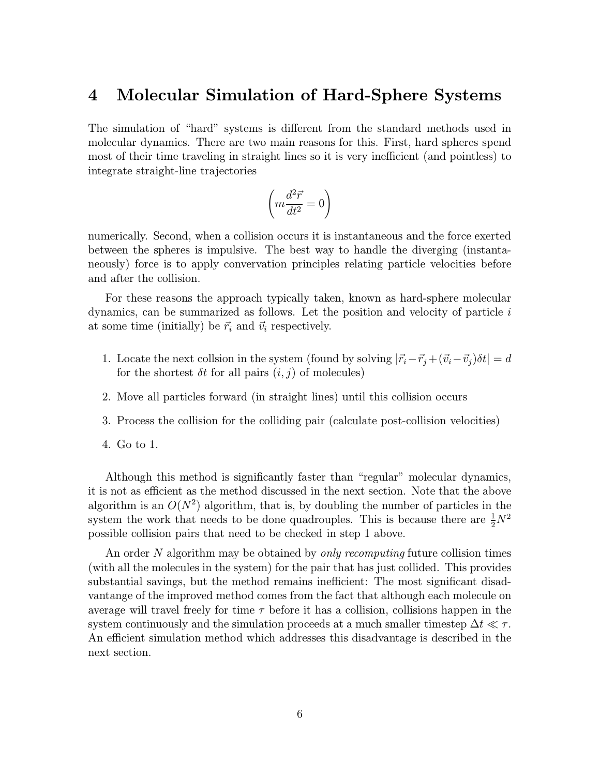### 4 Molecular Simulation of Hard-Sphere Systems

The simulation of "hard" systems is different from the standard methods used in molecular dynamics. There are two main reasons for this. First, hard spheres spend most of their time traveling in straight lines so it is very inefficient (and pointless) to integrate straight-line trajectories

$$
\left(m\frac{d^2\vec{r}}{dt^2}=0\right)
$$

numerically. Second, when a collision occurs it is instantaneous and the force exerted between the spheres is impulsive. The best way to handle the diverging (instantaneously) force is to apply convervation principles relating particle velocities before and after the collision.

For these reasons the approach typically taken, known as hard-sphere molecular dynamics, can be summarized as follows. Let the position and velocity of particle  $i$ at some time (initially) be  $\vec{r}_i$  and  $\vec{v}_i$  respectively.

- 1. Locate the next collsion in the system (found by solving  $|{\vec r}_i-{\vec r}_j +({\vec v}_i-{\vec v}_j) \delta t|=d$ for the shortest  $\delta t$  for all pairs  $(i, j)$  of molecules)
- 2. Move all particles forward (in straight lines) until this collision occurs
- 3. Process the collision for the colliding pair (calculate post-collision velocities)
- 4. Go to 1.

Although this method is significantly faster than "regular" molecular dynamics, it is not as efficient as the method discussed in the next section. Note that the above algorithm is an  $O(N^2)$  algorithm, that is, by doubling the number of particles in the system the work that needs to be done quadrouples. This is because there are  $\frac{1}{2}N^2$ possible collision pairs that need to be checked in step 1 above.

An order N algorithm may be obtained by *only recomputing* future collision times (with all the molecules in the system) for the pair that has just collided. This provides substantial savings, but the method remains inefficient: The most significant disadvantange of the improved method comes from the fact that although each molecule on average will travel freely for time  $\tau$  before it has a collision, collisions happen in the system continuously and the simulation proceeds at a much smaller timestep  $\Delta t \ll \tau$ . An efficient simulation method which addresses this disadvantage is described in the next section.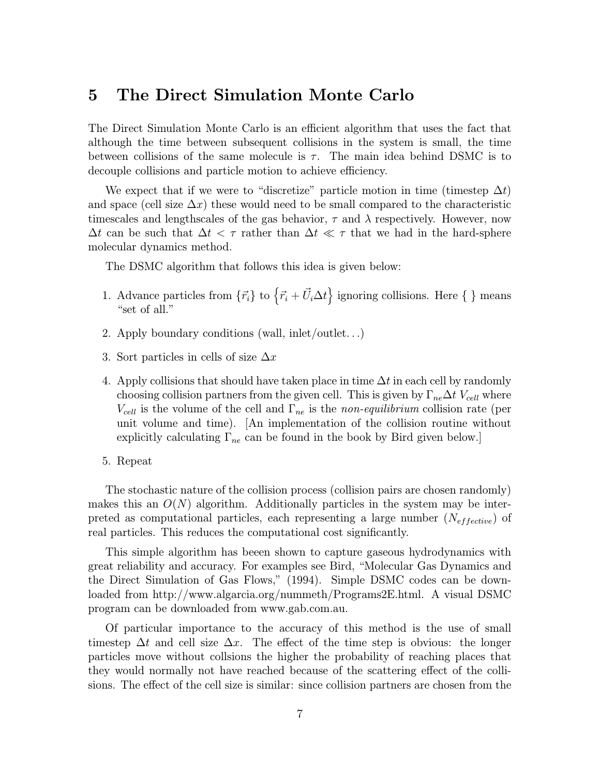### 5 The Direct Simulation Monte Carlo

The Direct Simulation Monte Carlo is an efficient algorithm that uses the fact that although the time between subsequent collisions in the system is small, the time between collisions of the same molecule is  $\tau$ . The main idea behind DSMC is to decouple collisions and particle motion to achieve efficiency.

We expect that if we were to "discretize" particle motion in time (timestep  $\Delta t$ ) and space (cell size  $\Delta x$ ) these would need to be small compared to the characteristic timescales and lengthscales of the gas behavior,  $\tau$  and  $\lambda$  respectively. However, now  $\Delta t$  can be such that  $\Delta t < \tau$  rather than  $\Delta t \ll \tau$  that we had in the hard-sphere molecular dynamics method.

The DSMC algorithm that follows this idea is given below:

- 1. Advance particles from  $\{\vec{r}_i\}$  to  $\{\vec{r}_i + \vec{U}_i \Delta t\}$  ignoring collisions. Here  $\{\}\$  means "set of all."
- 2. Apply boundary conditions (wall, inlet/outlet. . .)
- 3. Sort particles in cells of size  $\Delta x$
- 4. Apply collisions that should have taken place in time  $\Delta t$  in each cell by randomly choosing collision partners from the given cell. This is given by  $\Gamma_{ne}\Delta t$   $V_{cell}$  where  $V_{cell}$  is the volume of the cell and  $\Gamma_{ne}$  is the non-equilibrium collision rate (per unit volume and time). [An implementation of the collision routine without explicitly calculating  $\Gamma_{ne}$  can be found in the book by Bird given below.
- 5. Repeat

The stochastic nature of the collision process (collision pairs are chosen randomly) makes this an  $O(N)$  algorithm. Additionally particles in the system may be interpreted as computational particles, each representing a large number  $(N_{effective})$  of real particles. This reduces the computational cost significantly.

This simple algorithm has beeen shown to capture gaseous hydrodynamics with great reliability and accuracy. For examples see Bird, "Molecular Gas Dynamics and the Direct Simulation of Gas Flows," (1994). Simple DSMC codes can be downloaded from http://www.algarcia.org/nummeth/Programs2E.html. A visual DSMC program can be downloaded from www.gab.com.au.

Of particular importance to the accuracy of this method is the use of small timestep  $\Delta t$  and cell size  $\Delta x$ . The effect of the time step is obvious: the longer particles move without collsions the higher the probability of reaching places that they would normally not have reached because of the scattering effect of the collisions. The effect of the cell size is similar: since collision partners are chosen from the